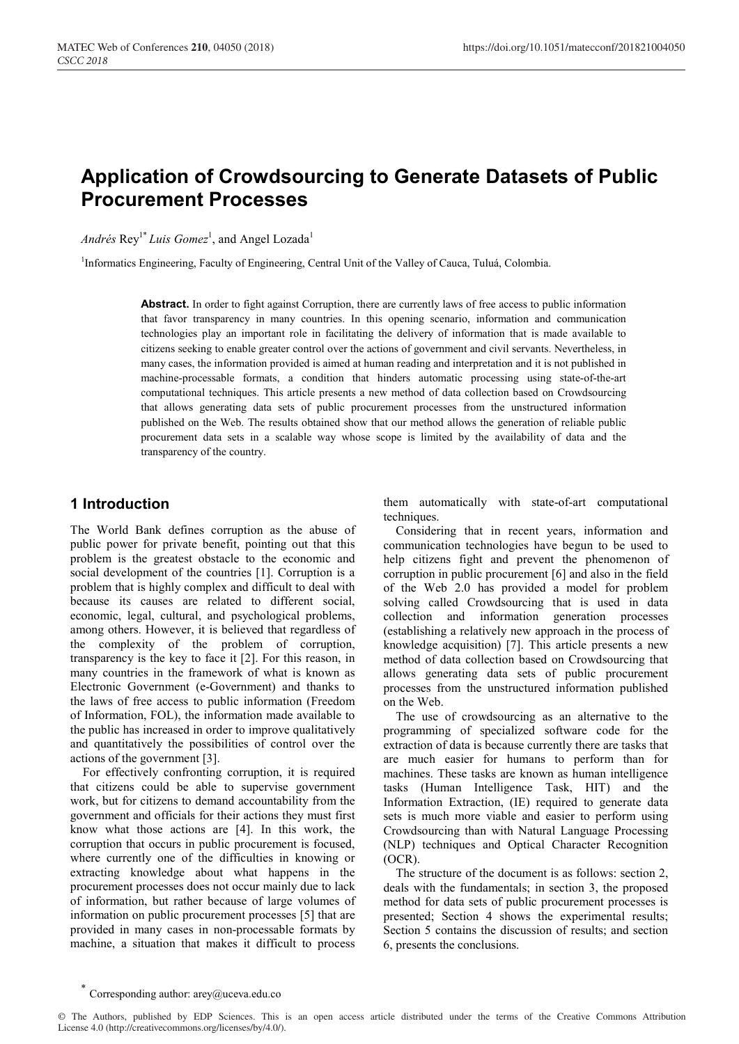# **Application of Crowdsourcing to Generate Datasets of Public Procurement Processes**

*Andrés* Rey<sup>1\*</sup> Luis Gomez<sup>1</sup>, and Angel Lozada<sup>1</sup>

<sup>1</sup>Informatics Engineering, Faculty of Engineering, Central Unit of the Valley of Cauca, Tuluá, Colombia.

Abstract. In order to fight against Corruption, there are currently laws of free access to public information that favor transparency in many countries. In this opening scenario, information and communication technologies play an important role in facilitating the delivery of information that is made available to citizens seeking to enable greater control over the actions of government and civil servants. Nevertheless, in many cases, the information provided is aimed at human reading and interpretation and it is not published in machine-processable formats, a condition that hinders automatic processing using state-of-the-art computational techniques. This article presents a new method of data collection based on Crowdsourcing that allows generating data sets of public procurement processes from the unstructured information published on the Web. The results obtained show that our method allows the generation of reliable public procurement data sets in a scalable way whose scope is limited by the availability of data and the transparency of the country.

## **1 Introduction**

The World Bank defines corruption as the abuse of public power for private benefit, pointing out that this problem is the greatest obstacle to the economic and social development of the countries [1]. Corruption is a problem that is highly complex and difficult to deal with because its causes are related to different social, economic, legal, cultural, and psychological problems, among others. However, it is believed that regardless of the complexity of the problem of corruption, transparency is the key to face it [2]. For this reason, in many countries in the framework of what is known as Electronic Government (e-Government) and thanks to the laws of free access to public information (Freedom of Information, FOL), the information made available to the public has increased in order to improve qualitatively and quantitatively the possibilities of control over the actions of the government [3].

For effectively confronting corruption, it is required that citizens could be able to supervise government work, but for citizens to demand accountability from the government and officials for their actions they must first know what those actions are [4]. In this work, the corruption that occurs in public procurement is focused, where currently one of the difficulties in knowing or extracting knowledge about what happens in the procurement processes does not occur mainly due to lack of information, but rather because of large volumes of information on public procurement processes [5] that are provided in many cases in non-processable formats by machine, a situation that makes it difficult to process them automatically with state-of-art computational techniques.

Considering that in recent years, information and communication technologies have begun to be used to help citizens fight and prevent the phenomenon of corruption in public procurement [6] and also in the field of the Web 2.0 has provided a model for problem solving called Crowdsourcing that is used in data collection and information generation processes (establishing a relatively new approach in the process of knowledge acquisition) [7]. This article presents a new method of data collection based on Crowdsourcing that allows generating data sets of public procurement processes from the unstructured information published on the Web.

The use of crowdsourcing as an alternative to the programming of specialized software code for the extraction of data is because currently there are tasks that are much easier for humans to perform than for machines. These tasks are known as human intelligence tasks (Human Intelligence Task, HIT) and the Information Extraction, (IE) required to generate data sets is much more viable and easier to perform using Crowdsourcing than with Natural Language Processing (NLP) techniques and Optical Character Recognition (OCR).

The structure of the document is as follows: section 2, deals with the fundamentals; in section 3, the proposed method for data sets of public procurement processes is presented; Section 4 shows the experimental results; Section 5 contains the discussion of results; and section 6, presents the conclusions.

Corresponding author: arey@uceva.edu.co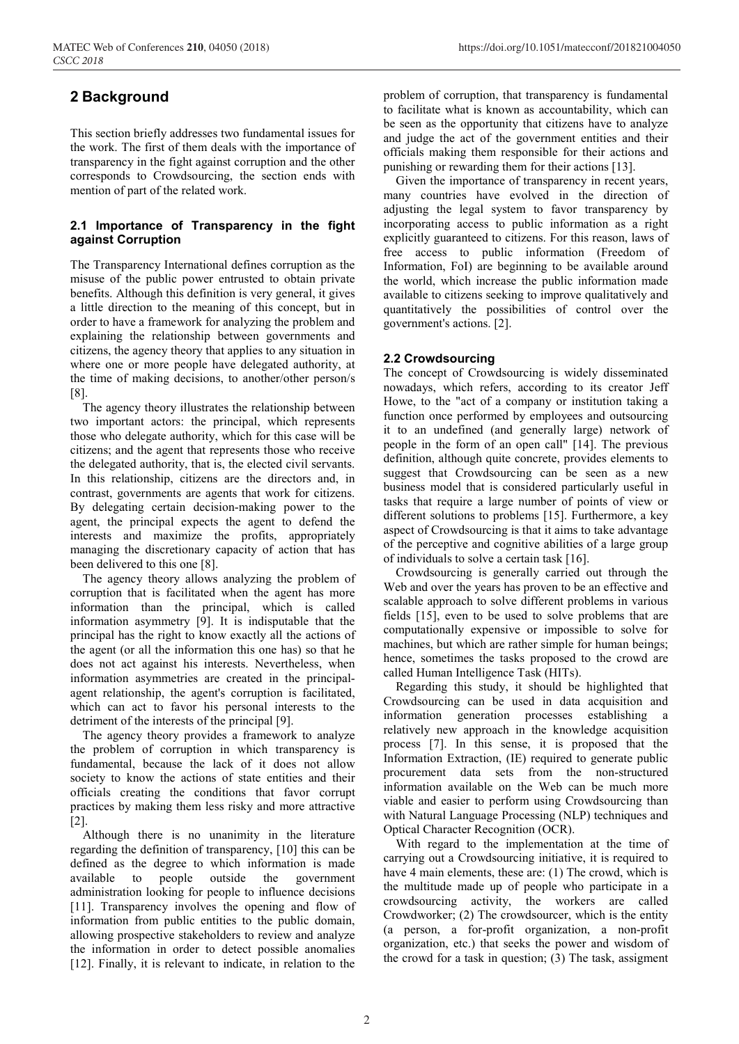## **2 Background**

This section briefly addresses two fundamental issues for the work. The first of them deals with the importance of transparency in the fight against corruption and the other corresponds to Crowdsourcing, the section ends with mention of part of the related work.

### **2.1 Importance of Transparency in the fight against Corruption**

The Transparency International defines corruption as the misuse of the public power entrusted to obtain private benefits. Although this definition is very general, it gives a little direction to the meaning of this concept, but in order to have a framework for analyzing the problem and explaining the relationship between governments and citizens, the agency theory that applies to any situation in where one or more people have delegated authority, at the time of making decisions, to another/other person/s [8].

The agency theory illustrates the relationship between two important actors: the principal, which represents those who delegate authority, which for this case will be citizens; and the agent that represents those who receive the delegated authority, that is, the elected civil servants. In this relationship, citizens are the directors and, in contrast, governments are agents that work for citizens. By delegating certain decision-making power to the agent, the principal expects the agent to defend the interests and maximize the profits, appropriately managing the discretionary capacity of action that has been delivered to this one [8].

The agency theory allows analyzing the problem of corruption that is facilitated when the agent has more information than the principal, which is called information asymmetry [9]. It is indisputable that the principal has the right to know exactly all the actions of the agent (or all the information this one has) so that he does not act against his interests. Nevertheless, when information asymmetries are created in the principalagent relationship, the agent's corruption is facilitated, which can act to favor his personal interests to the detriment of the interests of the principal [9].

The agency theory provides a framework to analyze the problem of corruption in which transparency is fundamental, because the lack of it does not allow society to know the actions of state entities and their officials creating the conditions that favor corrupt practices by making them less risky and more attractive [2].

Although there is no unanimity in the literature regarding the definition of transparency, [10] this can be defined as the degree to which information is made available to people outside the government administration looking for people to influence decisions [11]. Transparency involves the opening and flow of information from public entities to the public domain, allowing prospective stakeholders to review and analyze the information in order to detect possible anomalies [12]. Finally, it is relevant to indicate, in relation to the

problem of corruption, that transparency is fundamental to facilitate what is known as accountability, which can be seen as the opportunity that citizens have to analyze and judge the act of the government entities and their officials making them responsible for their actions and punishing or rewarding them for their actions [13].

Given the importance of transparency in recent years, many countries have evolved in the direction of adjusting the legal system to favor transparency by incorporating access to public information as a right explicitly guaranteed to citizens. For this reason, laws of free access to public information (Freedom of Information, FoI) are beginning to be available around the world, which increase the public information made available to citizens seeking to improve qualitatively and quantitatively the possibilities of control over the government's actions. [2].

### **2.2 Crowdsourcing**

The concept of Crowdsourcing is widely disseminated nowadays, which refers, according to its creator Jeff Howe, to the "act of a company or institution taking a function once performed by employees and outsourcing it to an undefined (and generally large) network of people in the form of an open call" [14]. The previous definition, although quite concrete, provides elements to suggest that Crowdsourcing can be seen as a new business model that is considered particularly useful in tasks that require a large number of points of view or different solutions to problems [15]. Furthermore, a key aspect of Crowdsourcing is that it aims to take advantage of the perceptive and cognitive abilities of a large group of individuals to solve a certain task [16].

Crowdsourcing is generally carried out through the Web and over the years has proven to be an effective and scalable approach to solve different problems in various fields [15], even to be used to solve problems that are computationally expensive or impossible to solve for machines, but which are rather simple for human beings; hence, sometimes the tasks proposed to the crowd are called Human Intelligence Task (HITs).

Regarding this study, it should be highlighted that Crowdsourcing can be used in data acquisition and information generation processes establishing a relatively new approach in the knowledge acquisition process [7]. In this sense, it is proposed that the Information Extraction, (IE) required to generate public procurement data sets from the non-structured information available on the Web can be much more viable and easier to perform using Crowdsourcing than with Natural Language Processing (NLP) techniques and Optical Character Recognition (OCR).

With regard to the implementation at the time of carrying out a Crowdsourcing initiative, it is required to have 4 main elements, these are: (1) The crowd, which is the multitude made up of people who participate in a crowdsourcing activity, the workers are called Crowdworker; (2) The crowdsourcer, which is the entity (a person, a for-profit organization, a non-profit organization, etc.) that seeks the power and wisdom of the crowd for a task in question; (3) The task, assigment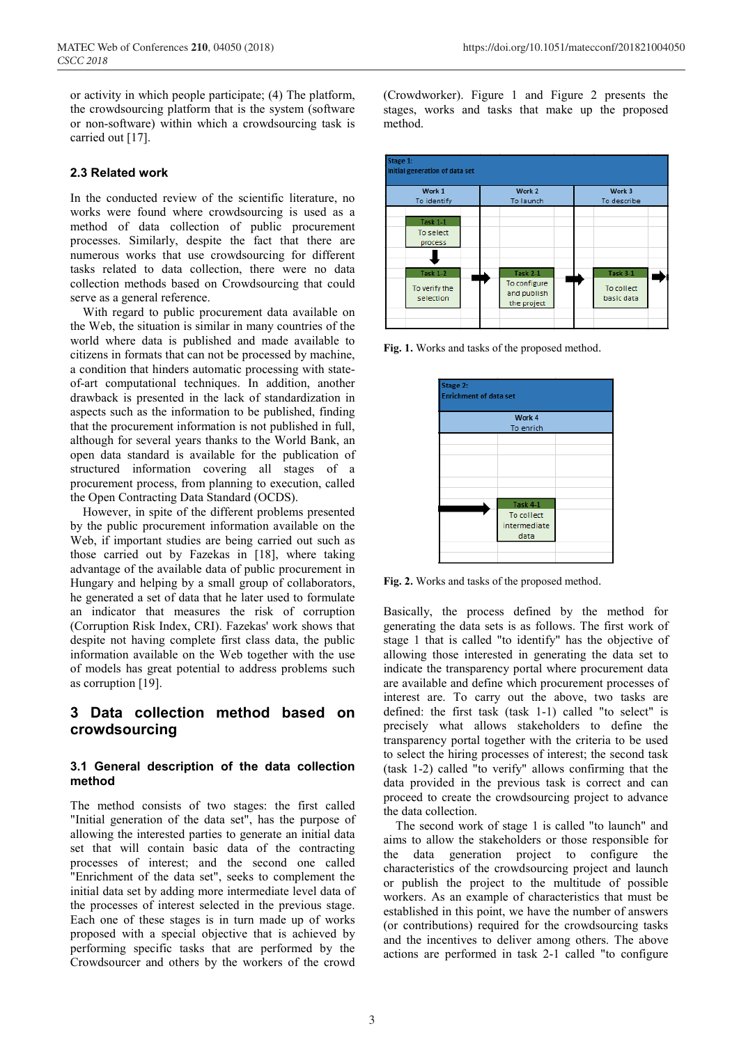or activity in which people participate; (4) The platform, the crowdsourcing platform that is the system (software or non-software) within which a crowdsourcing task is carried out [17].

#### **2.3 Related work**

In the conducted review of the scientific literature, no works were found where crowdsourcing is used as a method of data collection of public procurement processes. Similarly, despite the fact that there are numerous works that use crowdsourcing for different tasks related to data collection, there were no data collection methods based on Crowdsourcing that could serve as a general reference.

With regard to public procurement data available on the Web, the situation is similar in many countries of the world where data is published and made available to citizens in formats that can not be processed by machine, a condition that hinders automatic processing with stateof-art computational techniques. In addition, another drawback is presented in the lack of standardization in aspects such as the information to be published, finding that the procurement information is not published in full, although for several years thanks to the World Bank, an open data standard is available for the publication of structured information covering all stages of a procurement process, from planning to execution, called the Open Contracting Data Standard (OCDS).

However, in spite of the different problems presented by the public procurement information available on the Web, if important studies are being carried out such as those carried out by Fazekas in [18], where taking advantage of the available data of public procurement in Hungary and helping by a small group of collaborators, he generated a set of data that he later used to formulate an indicator that measures the risk of corruption (Corruption Risk Index, CRI). Fazekas' work shows that despite not having complete first class data, the public information available on the Web together with the use of models has great potential to address problems such as corruption [19].

## **3 Data collection method based on crowdsourcing**

#### **3.1 General description of the data collection method**

The method consists of two stages: the first called "Initial generation of the data set", has the purpose of allowing the interested parties to generate an initial data set that will contain basic data of the contracting processes of interest; and the second one called "Enrichment of the data set", seeks to complement the initial data set by adding more intermediate level data of the processes of interest selected in the previous stage. Each one of these stages is in turn made up of works proposed with a special objective that is achieved by performing specific tasks that are performed by the Crowdsourcer and others by the workers of the crowd

(Crowdworker). Figure 1 and Figure 2 presents the stages, works and tasks that make up the proposed method.



**Fig. 1.** Works and tasks of the proposed method.



**Fig. 2.** Works and tasks of the proposed method.

Basically, the process defined by the method for generating the data sets is as follows. The first work of stage 1 that is called "to identify" has the objective of allowing those interested in generating the data set to indicate the transparency portal where procurement data are available and define which procurement processes of interest are. To carry out the above, two tasks are defined: the first task (task 1-1) called "to select" is precisely what allows stakeholders to define the transparency portal together with the criteria to be used to select the hiring processes of interest; the second task (task 1-2) called "to verify" allows confirming that the data provided in the previous task is correct and can proceed to create the crowdsourcing project to advance the data collection.

The second work of stage 1 is called "to launch" and aims to allow the stakeholders or those responsible for the data generation project to configure the characteristics of the crowdsourcing project and launch or publish the project to the multitude of possible workers. As an example of characteristics that must be established in this point, we have the number of answers (or contributions) required for the crowdsourcing tasks and the incentives to deliver among others. The above actions are performed in task 2-1 called "to configure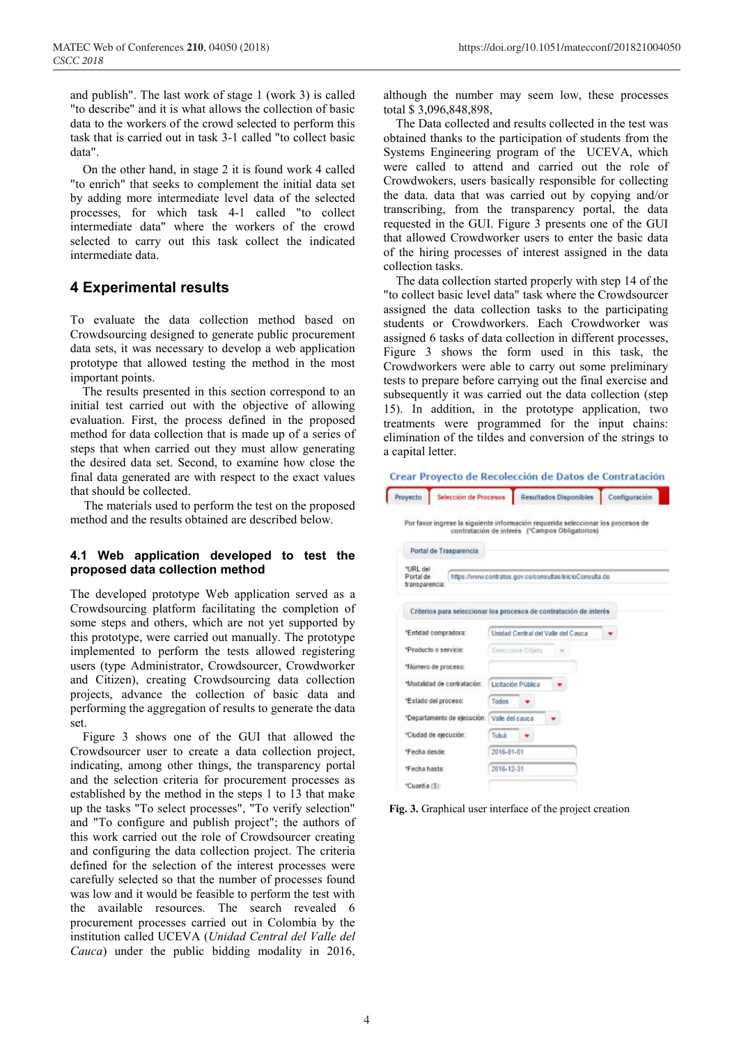and publish". The last work of stage 1 (work 3) is called "to describe" and it is what allows the collection of basic data to the workers of the crowd selected to perform this task that is carried out in task 3-1 called "to collect basic data".

On the other hand, in stage 2 it is found work 4 called "to enrich" that seeks to complement the initial data set by adding more intermediate level data of the selected processes, for which task 4-1 called "to collect intermediate data" where the workers of the crowd selected to carry out this task collect the indicated intermediate data.

## **4 Experimental results**

To evaluate the data collection method based on Crowdsourcing designed to generate public procurement data sets, it was necessary to develop a web application prototype that allowed testing the method in the most important points.

The results presented in this section correspond to an initial test carried out with the objective of allowing evaluation. First, the process defined in the proposed method for data collection that is made up of a series of steps that when carried out they must allow generating the desired data set. Second, to examine how close the final data generated are with respect to the exact values that should be collected.

The materials used to perform the test on the proposed method and the results obtained are described below.

#### **4.1 Web application developed to test the proposed data collection method**

The developed prototype Web application served as a Crowdsourcing platform facilitating the completion of some steps and others, which are not yet supported by this prototype, were carried out manually. The prototype implemented to perform the tests allowed registering users (type Administrator, Crowdsourcer, Crowdworker and Citizen), creating Crowdsourcing data collection projects, advance the collection of basic data and performing the aggregation of results to generate the data set.

Figure 3 shows one of the GUI that allowed the Crowdsourcer user to create a data collection project, indicating, among other things, the transparency portal and the selection criteria for procurement processes as established by the method in the steps 1 to 13 that make up the tasks "To select processes", "To verify selection" and "To configure and publish project"; the authors of this work carried out the role of Crowdsourcer creating and configuring the data collection project. The criteria defined for the selection of the interest processes were carefully selected so that the number of processes found was low and it would be feasible to perform the test with the available resources. The search revealed 6 procurement processes carried out in Colombia by the institution called UCEVA (*Unidad Central del Valle del Cauca*) under the public bidding modality in 2016, although the number may seem low, these processes total \$ 3,096,848,898,

The Data collected and results collected in the test was obtained thanks to the participation of students from the Systems Engineering program of the UCEVA, which were called to attend and carried out the role of Crowdwokers, users basically responsible for collecting the data. data that was carried out by copying and/or transcribing, from the transparency portal, the data requested in the GUI. Figure 3 presents one of the GUI that allowed Crowdworker users to enter the basic data of the hiring processes of interest assigned in the data collection tasks.

The data collection started properly with step 14 of the "to collect basic level data" task where the Crowdsourcer assigned the data collection tasks to the participating students or Crowdworkers. Each Crowdworker was assigned 6 tasks of data collection in different processes, Figure 3 shows the form used in this task, the Crowdworkers were able to carry out some preliminary tests to prepare before carrying out the final exercise and subsequently it was carried out the data collection (step 15). In addition, in the prototype application, two treatments were programmed for the input chains: elimination of the tildes and conversion of the strings to a capital letter.

#### Crear Proyecto de Recolección de Datos de Contratación

| Proyecto                                | Selección de Procesos       |  | <b>Resultados Disponibles</b>                                                                                                      | Configuración |
|-----------------------------------------|-----------------------------|--|------------------------------------------------------------------------------------------------------------------------------------|---------------|
|                                         |                             |  | Por favor ingrese la siguiente información requerida seleccionar los procesos de<br>contratación de interés ("Campos Obligatorios) |               |
|                                         | Portal de Trasparencia      |  |                                                                                                                                    |               |
| *URL del<br>Portal de<br>transparencia: |                             |  | https://www.contratos.gov.co/consultas/inicioConsulta.do                                                                           |               |
|                                         |                             |  | Criterios para seleccionar los procesos de contratación de interes                                                                 |               |
|                                         | "Entidad compradora:        |  | Unidad Central del Valle del Cauca                                                                                                 |               |
|                                         | *Producto o servicio:       |  | Seleccione Objeto                                                                                                                  |               |
|                                         | "Número de proceso:         |  |                                                                                                                                    |               |
|                                         | "Modalidad de contratación: |  | Licitación Pública                                                                                                                 |               |
|                                         | "Estado del proceso:        |  |                                                                                                                                    |               |
|                                         | *Departamento de ejecución: |  | Valle del cauca                                                                                                                    |               |
|                                         | *Cludad de elecución:       |  |                                                                                                                                    |               |
|                                         | "Fecha desde:               |  |                                                                                                                                    |               |
|                                         | *Fecha hasta:               |  |                                                                                                                                    |               |
| *Cuantia (\$):                          |                             |  |                                                                                                                                    |               |

**Fig. 3.** Graphical user interface of the project creation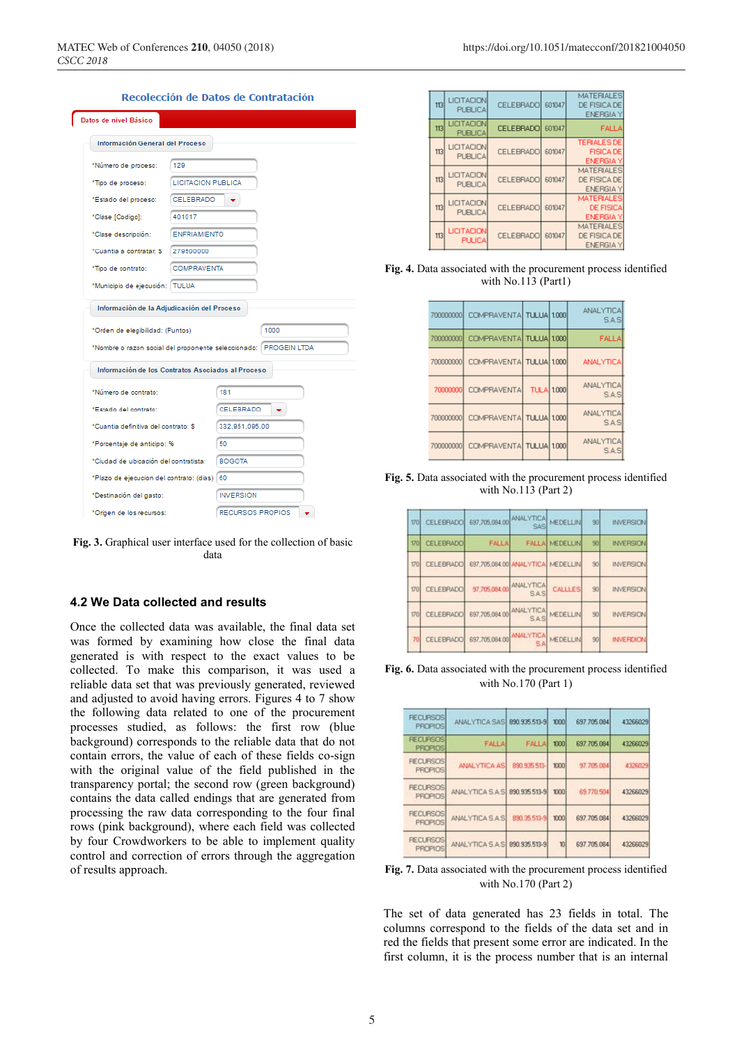| Datos de nivel Básico                                            |                                       |                  |                |  |  |
|------------------------------------------------------------------|---------------------------------------|------------------|----------------|--|--|
| Información General del Proceso                                  |                                       |                  |                |  |  |
| "Número de proceso:                                              | 129                                   |                  |                |  |  |
| *Tipo de proceso:                                                | <b>LICITACION PUBLICA</b>             |                  |                |  |  |
| "Estado del proceso:                                             | CELEBRADO                             |                  |                |  |  |
| "Clase [Codigo]:                                                 | 401017                                |                  |                |  |  |
| "Clase descripción:                                              | <b>ENFRIAMIENTO</b>                   |                  |                |  |  |
| *Cuantia a contratar: \$                                         | 279500000                             |                  |                |  |  |
| *Tipo de contrato:                                               | <b>COMPRAVENTA</b>                    |                  |                |  |  |
| *Municipio de ejecución: TULUA                                   |                                       |                  |                |  |  |
| Información de la Adjudicación del Proceso                       |                                       |                  |                |  |  |
| "Orden de elegibilidad: (Puntos)                                 |                                       |                  | 1000           |  |  |
| *Nombre o razon social del proponente seleccionado: PROGEIN LTDA |                                       |                  |                |  |  |
| Información de los Contratos Asociados al Proceso                |                                       |                  |                |  |  |
| *Número de contrato:                                             |                                       | 181              |                |  |  |
| "Estado del contrato:                                            |                                       |                  | CELEBRADO      |  |  |
|                                                                  | "Cuantia definitiva del contrato: \$  |                  | 332,951,095.00 |  |  |
| "Porcentaje de anticipo: %                                       |                                       | 50               |                |  |  |
|                                                                  | "Ciudad de ubicación del contratista: |                  |                |  |  |
| *Plazo de ejecucion del contrato: (dias) 60                      |                                       |                  |                |  |  |
| *Destinación del gasto:                                          |                                       |                  |                |  |  |
| "Origen de los recursos:                                         |                                       | RECURSOS PROPIOS |                |  |  |

**Fig. 3.** Graphical user interface used for the collection of basic data

#### **4.2 We Data collected and results**

Once the collected data was available, the final data set was formed by examining how close the final data generated is with respect to the exact values to be collected. To make this comparison, it was used a reliable data set that was previously generated, reviewed and adjusted to avoid having errors. Figures 4 to 7 show the following data related to one of the procurement processes studied, as follows: the first row (blue background) corresponds to the reliable data that do not contain errors, the value of each of these fields co-sign with the original value of the field published in the transparency portal; the second row (green background) contains the data called endings that are generated from processing the raw data corresponding to the four final rows (pink background), where each field was collected by four Crowdworkers to be able to implement quality control and correction of errors through the aggregation of results approach.

| 113 | LICITACION<br>PUBLICA               | CELEBRADO | 601047 | MATERIALES<br>DE FISICA DE<br><b>ENERGIA Y</b>            |
|-----|-------------------------------------|-----------|--------|-----------------------------------------------------------|
| 113 | <b>LICITACION</b><br><b>PUBLICA</b> | CELEBRADO | 601047 | FALLA                                                     |
| 113 | LICITACION<br><b>PUBLICA</b>        | CELEBRADO | 601047 | <b>TERIALES DE</b><br><b>FISICA DE</b><br><b>ENERGIAY</b> |
| 113 | <b>LICITACION</b><br><b>PUBLICA</b> | CELEBRADO | 601047 | <b>MATERIALES</b><br>DE FISICA DE<br><b>ENERGIAY</b>      |
| 113 | <b>LICITACION</b><br><b>PUBLICA</b> | CELEBRADO | 601047 | <b>MATERIALES</b><br><b>DE FISICA</b><br><b>ENERGIAY</b>  |
| 113 | LICITACION<br>PULICA                | CELEBRADO | 601047 | <b>MATERIALES</b><br>DE FISICA DE<br><b>ENERGIAY</b>      |

**Fig. 4.** Data associated with the procurement process identified with No.113 (Part1)

| <b>ANALYTICA</b><br><b>SAS</b> |                  | COMPRAVENTA TULUA 1000  | 700000000 |
|--------------------------------|------------------|-------------------------|-----------|
| <b>FALLA</b>                   |                  | COMPRAVENTA TULUA 1000  | 700000000 |
| <b>ANALYTICA</b>               |                  | COMPRAVENTA TULUA 1000  | 700000000 |
| <b>ANALYTICA</b><br>SAS        | <b>TULA</b> 1000 | <b>COMPRAVENTA</b>      | 70000000  |
| <b>ANALYTICA</b><br>S.A.S      |                  | COMPRAVENTA TULUA 1.000 | 700000000 |
| <b>ANALYTICA</b><br>S.A.S      |                  | COMPRAVENTA TULUA 1000  | 700000000 |

**Fig. 5.** Data associated with the procurement process identified with No.113 (Part 2)

|     | 170 CELEBRADO | 697,705,084.00                    | ANALYTICA<br><b>SAS</b> | MEDELLIN              | 30 | <b>INVERSION</b> |
|-----|---------------|-----------------------------------|-------------------------|-----------------------|----|------------------|
| 170 | CELEBRADO     | <b>FALL A</b>                     |                         | <b>FALLA MEDELLIN</b> | 90 | <b>INVERSION</b> |
| 170 | CELEBRADO     | 697,705,084.00 ANALYTICA MEDELLIN |                         |                       | 90 | <b>INVERSION</b> |
| 170 | CELEBRADO     | 97.705.084.00                     | ANALYTICA<br>SAS        | <b>CALLLES</b>        | 90 | <b>INVERSION</b> |
| 170 | CELEBRADO     | 697,705,084.00                    | ANALYTICA<br>SAS        | <b>MEDELLIN</b>       | 90 | <b>INVERSION</b> |
| 70  | CELEBRADO     | 697,705,084.00 ANALYTICA          |                         | MEDELLIN              | 90 | <b>INVERDION</b> |

**Fig. 6.** Data associated with the procurement process identified with No.170 (Part 1)

| <b>PECUPSOSI</b><br><b>PROPIOS</b>       | ANALYTICA SAS 890 935 513-9    |              | 1000 | 697.705.084 | 43266029 |
|------------------------------------------|--------------------------------|--------------|------|-------------|----------|
| <b><i>FECURSOS</i></b><br><b>PROPIOS</b> | <b>FALLA</b>                   | <b>FALLA</b> | 1000 | 697.705.084 | 43266029 |
| <b><i>RECURSOS</i></b><br><b>PROPIOS</b> | ANALYTICA AS                   | 890 975 513- | 1000 | 97.705.084  | 4326029  |
| <b><i>RECURSOS</i></b><br><b>PROPIOS</b> | ANALYTICA S.A.S. 890.935.513-9 |              | 1000 | 69.770.504  | 43266029 |
| <b><i>PECURSOS</i></b><br><b>PROPIOS</b> | ANALYTICA S.A.S.               | 890.35.513-9 | 1000 | 697.705.084 | 43266029 |
| <b>FECURSOS</b><br><b>PROPIOS</b>        | ANALYTICA S.A.S. 890.935.513-9 |              | 10   | 697.705.084 | 43266029 |

**Fig. 7.** Data associated with the procurement process identified with No.170 (Part 2)

The set of data generated has 23 fields in total. The columns correspond to the fields of the data set and in red the fields that present some error are indicated. In the first column, it is the process number that is an internal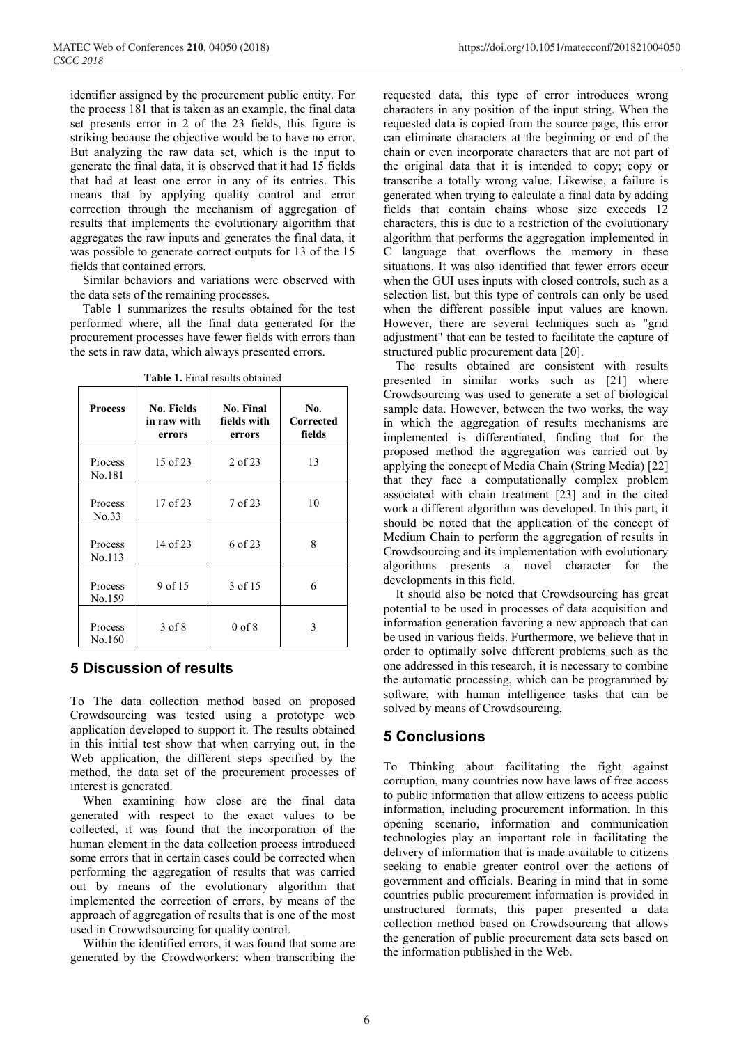identifier assigned by the procurement public entity. For the process 181 that is taken as an example, the final data set presents error in 2 of the 23 fields, this figure is striking because the objective would be to have no error. But analyzing the raw data set, which is the input to generate the final data, it is observed that it had 15 fields that had at least one error in any of its entries. This means that by applying quality control and error correction through the mechanism of aggregation of results that implements the evolutionary algorithm that aggregates the raw inputs and generates the final data, it was possible to generate correct outputs for 13 of the 15 fields that contained errors.

Similar behaviors and variations were observed with the data sets of the remaining processes.

Table 1 summarizes the results obtained for the test performed where, all the final data generated for the procurement processes have fewer fields with errors than the sets in raw data, which always presented errors.

| <b>Process</b>    | No. Fields<br>in raw with<br>errors | No. Final<br>fields with<br>errors | No.<br>Corrected<br>fields |
|-------------------|-------------------------------------|------------------------------------|----------------------------|
| Process<br>No.181 | 15 of 23                            | 2 of 23                            | 13                         |
| Process<br>No.33  | 17 of 23                            | 7 of 23                            | 10                         |
| Process<br>No.113 | 14 of 23                            | 6 of 23                            | 8                          |
| Process<br>No.159 | 9 of 15                             | 3 of 15                            | 6                          |
| Process<br>No.160 | $3$ of $8$                          | $0$ of $8$                         | 3                          |

**Table 1.** Final results obtained

#### **5 Discussion of results**

To The data collection method based on proposed Crowdsourcing was tested using a prototype web application developed to support it. The results obtained in this initial test show that when carrying out, in the Web application, the different steps specified by the method, the data set of the procurement processes of interest is generated.

When examining how close are the final data generated with respect to the exact values to be collected, it was found that the incorporation of the human element in the data collection process introduced some errors that in certain cases could be corrected when performing the aggregation of results that was carried out by means of the evolutionary algorithm that implemented the correction of errors, by means of the approach of aggregation of results that is one of the most used in Crowwdsourcing for quality control.

Within the identified errors, it was found that some are generated by the Crowdworkers: when transcribing the requested data, this type of error introduces wrong characters in any position of the input string. When the requested data is copied from the source page, this error can eliminate characters at the beginning or end of the chain or even incorporate characters that are not part of the original data that it is intended to copy; copy or transcribe a totally wrong value. Likewise, a failure is generated when trying to calculate a final data by adding fields that contain chains whose size exceeds 12 characters, this is due to a restriction of the evolutionary algorithm that performs the aggregation implemented in C language that overflows the memory in these situations. It was also identified that fewer errors occur when the GUI uses inputs with closed controls, such as a selection list, but this type of controls can only be used when the different possible input values are known. However, there are several techniques such as "grid adjustment" that can be tested to facilitate the capture of structured public procurement data [20].

The results obtained are consistent with results presented in similar works such as [21] where Crowdsourcing was used to generate a set of biological sample data. However, between the two works, the way in which the aggregation of results mechanisms are implemented is differentiated, finding that for the proposed method the aggregation was carried out by applying the concept of Media Chain (String Media) [22] that they face a computationally complex problem associated with chain treatment [23] and in the cited work a different algorithm was developed. In this part, it should be noted that the application of the concept of Medium Chain to perform the aggregation of results in Crowdsourcing and its implementation with evolutionary algorithms presents a novel character for the developments in this field.

It should also be noted that Crowdsourcing has great potential to be used in processes of data acquisition and information generation favoring a new approach that can be used in various fields. Furthermore, we believe that in order to optimally solve different problems such as the one addressed in this research, it is necessary to combine the automatic processing, which can be programmed by software, with human intelligence tasks that can be solved by means of Crowdsourcing.

## **5 Conclusions**

To Thinking about facilitating the fight against corruption, many countries now have laws of free access to public information that allow citizens to access public information, including procurement information. In this opening scenario, information and communication technologies play an important role in facilitating the delivery of information that is made available to citizens seeking to enable greater control over the actions of government and officials. Bearing in mind that in some countries public procurement information is provided in unstructured formats, this paper presented a data collection method based on Crowdsourcing that allows the generation of public procurement data sets based on the information published in the Web.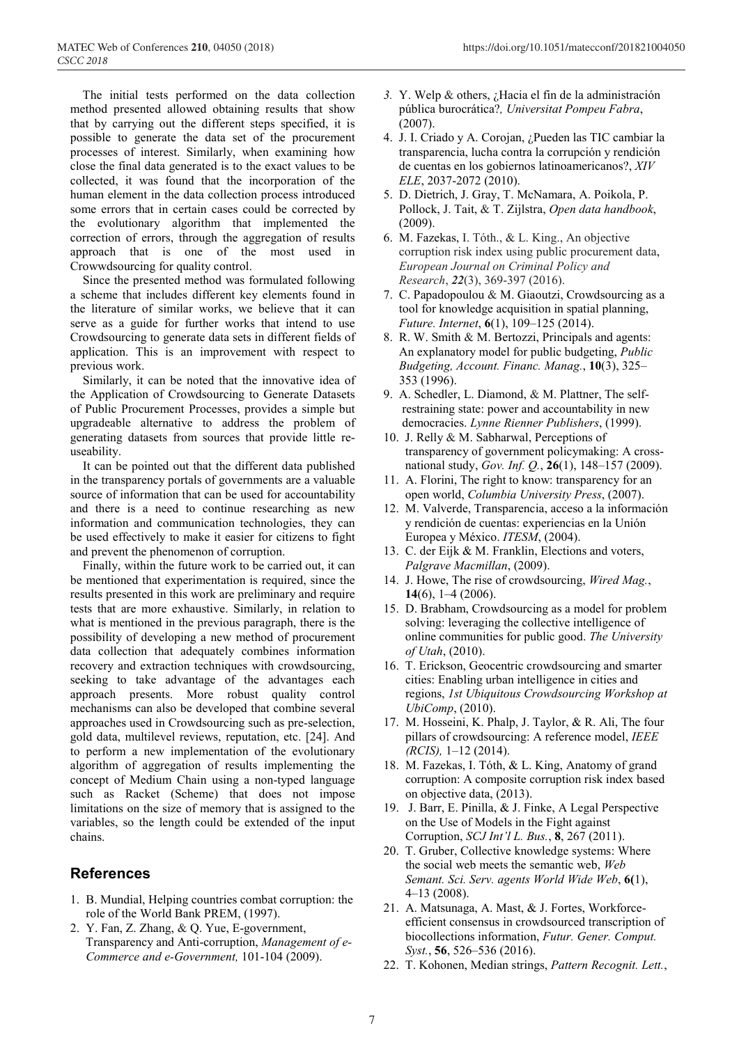The initial tests performed on the data collection method presented allowed obtaining results that show that by carrying out the different steps specified, it is possible to generate the data set of the procurement processes of interest. Similarly, when examining how close the final data generated is to the exact values to be collected, it was found that the incorporation of the human element in the data collection process introduced some errors that in certain cases could be corrected by the evolutionary algorithm that implemented the correction of errors, through the aggregation of results approach that is one of the most used in Crowwdsourcing for quality control.

Since the presented method was formulated following a scheme that includes different key elements found in the literature of similar works, we believe that it can serve as a guide for further works that intend to use Crowdsourcing to generate data sets in different fields of application. This is an improvement with respect to previous work.

Similarly, it can be noted that the innovative idea of the Application of Crowdsourcing to Generate Datasets of Public Procurement Processes, provides a simple but upgradeable alternative to address the problem of generating datasets from sources that provide little reuseability.

It can be pointed out that the different data published in the transparency portals of governments are a valuable source of information that can be used for accountability and there is a need to continue researching as new information and communication technologies, they can be used effectively to make it easier for citizens to fight and prevent the phenomenon of corruption.

Finally, within the future work to be carried out, it can be mentioned that experimentation is required, since the results presented in this work are preliminary and require tests that are more exhaustive. Similarly, in relation to what is mentioned in the previous paragraph, there is the possibility of developing a new method of procurement data collection that adequately combines information recovery and extraction techniques with crowdsourcing, seeking to take advantage of the advantages each approach presents. More robust quality control mechanisms can also be developed that combine several approaches used in Crowdsourcing such as pre-selection, gold data, multilevel reviews, reputation, etc. [24]. And to perform a new implementation of the evolutionary algorithm of aggregation of results implementing the concept of Medium Chain using a non-typed language such as Racket (Scheme) that does not impose limitations on the size of memory that is assigned to the variables, so the length could be extended of the input chains.

## **References**

- 1. B. Mundial, Helping countries combat corruption: the role of the World Bank PREM, (1997).
- 2. Y. Fan, Z. Zhang, & Q. Yue, E-government, Transparency and Anti-corruption, *Management of e-Commerce and e-Government,* 101-104 (2009).
- *3.* Y. Welp & others, ¿Hacia el fin de la administración pública burocrática?*, Universitat Pompeu Fabra*, (2007).
- 4. J. I. Criado y A. Corojan, ¿Pueden las TIC cambiar la transparencia, lucha contra la corrupción y rendición de cuentas en los gobiernos latinoamericanos?, *XIV ELE*, 2037-2072 (2010).
- 5. D. Dietrich, J. Gray, T. McNamara, A. Poikola, P. Pollock, J. Tait, & T. Zijlstra, *Open data handbook*, (2009).
- 6. M. Fazekas, I. Tóth., & L. King., An objective corruption risk index using public procurement data, *European Journal on Criminal Policy and Research*, *22*(3), 369-397 (2016).
- 7. C. Papadopoulou & M. Giaoutzi, Crowdsourcing as a tool for knowledge acquisition in spatial planning, *Future. Internet*, **6**(1), 109–125 (2014).
- 8. R. W. Smith & M. Bertozzi, Principals and agents: An explanatory model for public budgeting, *Public Budgeting, Account. Financ. Manag.*, **10**(3), 325– 353 (1996).
- 9. A. Schedler, L. Diamond, & M. Plattner, The selfrestraining state: power and accountability in new democracies. *Lynne Rienner Publishers*, (1999).
- 10. J. Relly & M. Sabharwal, Perceptions of transparency of government policymaking: A crossnational study, *Gov. Inf. Q.*, **26**(1), 148–157 (2009).
- 11. A. Florini, The right to know: transparency for an open world, *Columbia University Press*, (2007).
- 12. M. Valverde, Transparencia, acceso a la información y rendición de cuentas: experiencias en la Unión Europea y México. *ITESM*, (2004).
- 13. C. der Eijk & M. Franklin, Elections and voters, *Palgrave Macmillan*, (2009).
- 14. J. Howe, The rise of crowdsourcing, *Wired Mag.*, **14**(6), 1–4 (2006).
- 15. D. Brabham, Crowdsourcing as a model for problem solving: leveraging the collective intelligence of online communities for public good. *The University of Utah*, (2010).
- 16. T. Erickson, Geocentric crowdsourcing and smarter cities: Enabling urban intelligence in cities and regions, *1st Ubiquitous Crowdsourcing Workshop at UbiComp*, (2010).
- 17. M. Hosseini, K. Phalp, J. Taylor, & R. Ali, The four pillars of crowdsourcing: A reference model, *IEEE (RCIS),* 1–12 (2014).
- 18. M. Fazekas, I. Tóth, & L. King, Anatomy of grand corruption: A composite corruption risk index based on objective data, (2013).
- 19. J. Barr, E. Pinilla, & J. Finke, A Legal Perspective on the Use of Models in the Fight against Corruption, *SCJ Int'l L. Bus.*, **8**, 267 (2011).
- 20. T. Gruber, Collective knowledge systems: Where the social web meets the semantic web, *Web Semant. Sci. Serv. agents World Wide Web*, **6(**1), 4–13 (2008).
- 21. A. Matsunaga, A. Mast, & J. Fortes, Workforceefficient consensus in crowdsourced transcription of biocollections information, *Futur. Gener. Comput. Syst.*, **56**, 526–536 (2016).
- 22. T. Kohonen, Median strings, *Pattern Recognit. Lett.*,